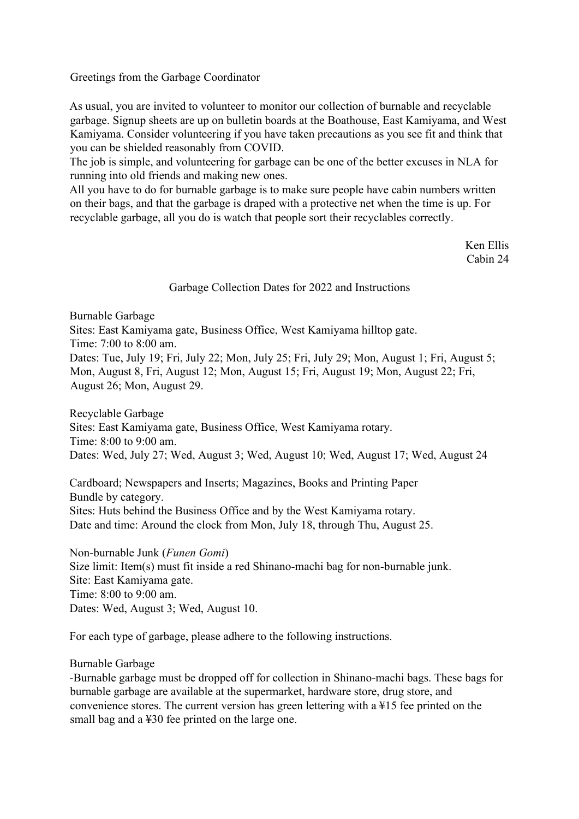Greetings from the Garbage Coordinator

As usual, you are invited to volunteer to monitor our collection of burnable and recyclable garbage. Signup sheets are up on bulletin boards at the Boathouse, East Kamiyama, and West Kamiyama. Consider volunteering if you have taken precautions as you see fit and think that you can be shielded reasonably from COVID.

The job is simple, and volunteering for garbage can be one of the better excuses in NLA for running into old friends and making new ones.

All you have to do for burnable garbage is to make sure people have cabin numbers written on their bags, and that the garbage is draped with a protective net when the time is up. For recyclable garbage, all you do is watch that people sort their recyclables correctly.

> Ken Ellis Cabin 24

## Garbage Collection Dates for 2022 and Instructions

Burnable Garbage Sites: East Kamiyama gate, Business Office, West Kamiyama hilltop gate. Time: 7:00 to 8:00 am. Dates: Tue, July 19; Fri, July 22; Mon, July 25; Fri, July 29; Mon, August 1; Fri, August 5; Mon, August 8, Fri, August 12; Mon, August 15; Fri, August 19; Mon, August 22; Fri, August 26; Mon, August 29.

Recyclable Garbage Sites: East Kamiyama gate, Business Office, West Kamiyama rotary. Time: 8:00 to 9:00 am. Dates: Wed, July 27; Wed, August 3; Wed, August 10; Wed, August 17; Wed, August 24

Cardboard; Newspapers and Inserts; Magazines, Books and Printing Paper Bundle by category. Sites: Huts behind the Business Office and by the West Kamiyama rotary. Date and time: Around the clock from Mon, July 18, through Thu, August 25.

Non-burnable Junk (*Funen Gomi*) Size limit: Item(s) must fit inside a red Shinano-machi bag for non-burnable junk. Site: East Kamiyama gate. Time: 8:00 to 9:00 am. Dates: Wed, August 3; Wed, August 10.

For each type of garbage, please adhere to the following instructions.

## Burnable Garbage

-Burnable garbage must be dropped off for collection in Shinano-machi bags. These bags for burnable garbage are available at the supermarket, hardware store, drug store, and convenience stores. The current version has green lettering with a ¥15 fee printed on the small bag and a ¥30 fee printed on the large one.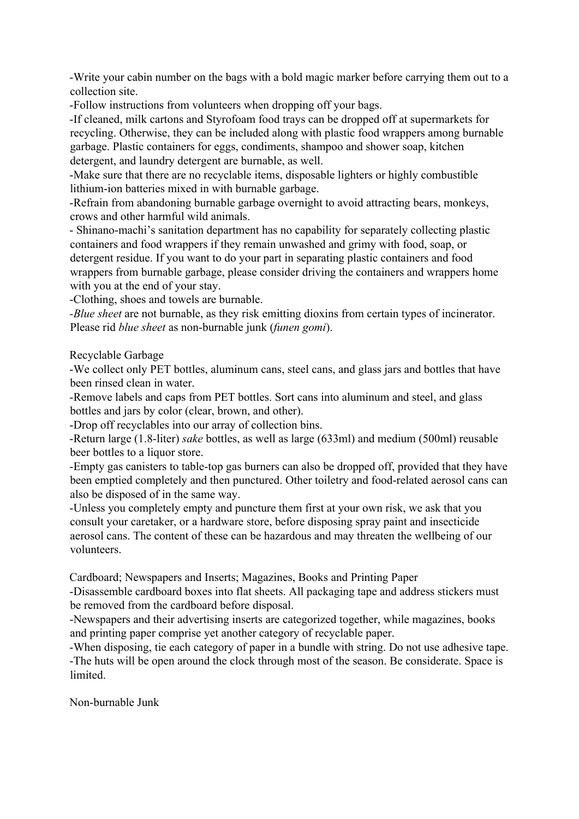-Write your cabin number on the bags with a bold magic marker before carrying them out to a collection site.

-Follow instructions from volunteers when dropping off your bags.

-If cleaned, milk cartons and Styrofoam food trays can be dropped off at supermarkets for recycling. Otherwise, they can be included along with plastic food wrappers among burnable garbage. Plastic containers for eggs, condiments, shampoo and shower soap, kitchen detergent, and laundry detergent are burnable, as well.

-Make sure that there are no recyclable items, disposable lighters or highly combustible lithium-ion batteries mixed in with burnable garbage.

-Refrain from abandoning burnable garbage overnight to avoid attracting bears, monkeys, crows and other harmful wild animals.

- Shinano-machi's sanitation department has no capability for separately collecting plastic containers and food wrappers if they remain unwashed and grimy with food, soap, or detergent residue. If you want to do your part in separating plastic containers and food wrappers from burnable garbage, please consider driving the containers and wrappers home with you at the end of your stay.

-Clothing, shoes and towels are burnable.

*-Blue sheet* are not burnable, as they risk emitting dioxins from certain types of incinerator. Please rid *blue sheet* as non-burnable junk (*funen gomi*).

Recyclable Garbage

-We collect only PET bottles, aluminum cans, steel cans, and glass jars and bottles that have been rinsed clean in water.

-Remove labels and caps from PET bottles. Sort cans into aluminum and steel, and glass bottles and jars by color (clear, brown, and other).

-Drop off recyclables into our array of collection bins.

-Return large (1.8-liter) *sake* bottles, as well as large (633ml) and medium (500ml) reusable beer bottles to a liquor store.

-Empty gas canisters to table-top gas burners can also be dropped off, provided that they have been emptied completely and then punctured. Other toiletry and food-related aerosol cans can also be disposed of in the same way.

-Unless you completely empty and puncture them first at your own risk, we ask that you consult your caretaker, or a hardware store, before disposing spray paint and insecticide aerosol cans. The content of these can be hazardous and may threaten the wellbeing of our volunteers.

Cardboard; Newspapers and Inserts; Magazines, Books and Printing Paper

-Disassemble cardboard boxes into flat sheets. All packaging tape and address stickers must be removed from the cardboard before disposal.

-Newspapers and their advertising inserts are categorized together, while magazines, books and printing paper comprise yet another category of recyclable paper.

-When disposing, tie each category of paper in a bundle with string. Do not use adhesive tape. -The huts will be open around the clock through most of the season. Be considerate. Space is limited.

Non-burnable Junk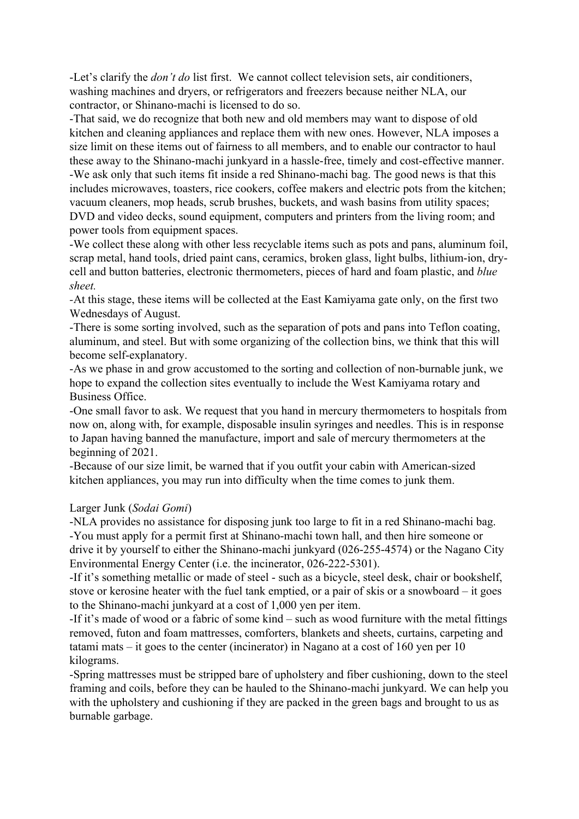-Let's clarify the *don't do* list first. We cannot collect television sets, air conditioners, washing machines and dryers, or refrigerators and freezers because neither NLA, our contractor, or Shinano-machi is licensed to do so.

-That said, we do recognize that both new and old members may want to dispose of old kitchen and cleaning appliances and replace them with new ones. However, NLA imposes a size limit on these items out of fairness to all members, and to enable our contractor to haul these away to the Shinano-machi junkyard in a hassle-free, timely and cost-effective manner. -We ask only that such items fit inside a red Shinano-machi bag. The good news is that this includes microwaves, toasters, rice cookers, coffee makers and electric pots from the kitchen; vacuum cleaners, mop heads, scrub brushes, buckets, and wash basins from utility spaces; DVD and video decks, sound equipment, computers and printers from the living room; and power tools from equipment spaces.

-We collect these along with other less recyclable items such as pots and pans, aluminum foil, scrap metal, hand tools, dried paint cans, ceramics, broken glass, light bulbs, lithium-ion, drycell and button batteries, electronic thermometers, pieces of hard and foam plastic, and *blue sheet.*

*-*At this stage, these items will be collected at the East Kamiyama gate only, on the first two Wednesdays of August.

-There is some sorting involved, such as the separation of pots and pans into Teflon coating, aluminum, and steel. But with some organizing of the collection bins, we think that this will become self-explanatory.

-As we phase in and grow accustomed to the sorting and collection of non-burnable junk, we hope to expand the collection sites eventually to include the West Kamiyama rotary and Business Office.

-One small favor to ask. We request that you hand in mercury thermometers to hospitals from now on, along with, for example, disposable insulin syringes and needles. This is in response to Japan having banned the manufacture, import and sale of mercury thermometers at the beginning of 2021.

-Because of our size limit, be warned that if you outfit your cabin with American-sized kitchen appliances, you may run into difficulty when the time comes to junk them.

## Larger Junk (*Sodai Gomi*)

-NLA provides no assistance for disposing junk too large to fit in a red Shinano-machi bag. -You must apply for a permit first at Shinano-machi town hall, and then hire someone or drive it by yourself to either the Shinano-machi junkyard (026-255-4574) or the Nagano City Environmental Energy Center (i.e. the incinerator, 026-222-5301).

-If it's something metallic or made of steel - such as a bicycle, steel desk, chair or bookshelf, stove or kerosine heater with the fuel tank emptied, or a pair of skis or a snowboard – it goes to the Shinano-machi junkyard at a cost of 1,000 yen per item.

-If it's made of wood or a fabric of some kind – such as wood furniture with the metal fittings removed, futon and foam mattresses, comforters, blankets and sheets, curtains, carpeting and tatami mats – it goes to the center (incinerator) in Nagano at a cost of 160 yen per 10 kilograms.

-Spring mattresses must be stripped bare of upholstery and fiber cushioning, down to the steel framing and coils, before they can be hauled to the Shinano-machi junkyard. We can help you with the upholstery and cushioning if they are packed in the green bags and brought to us as burnable garbage.